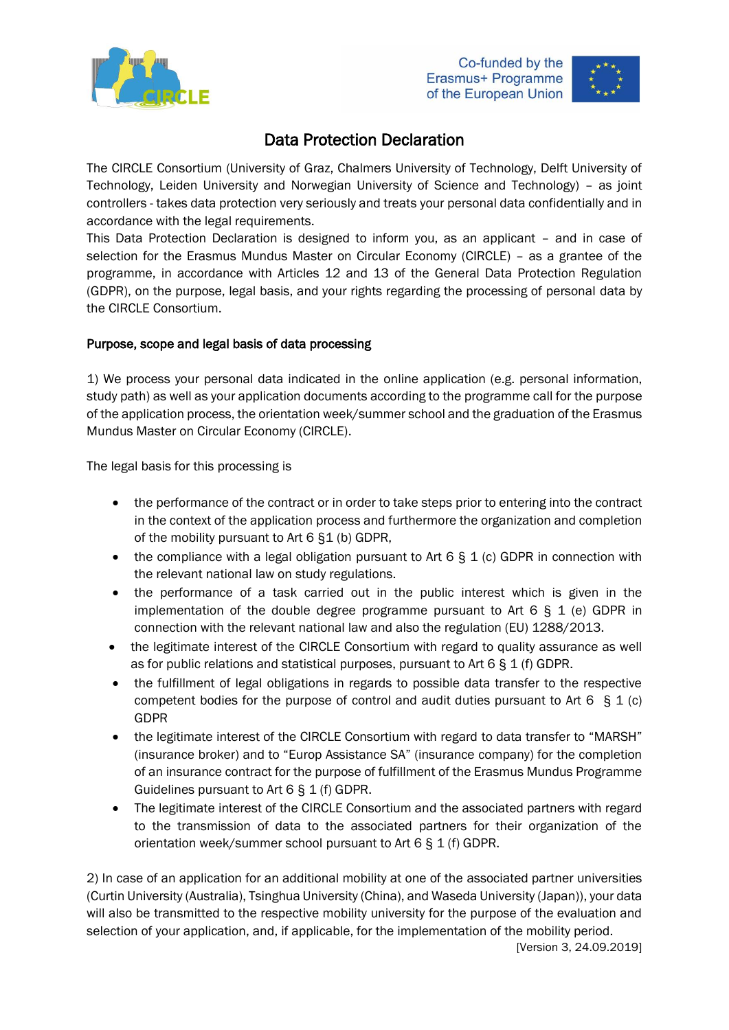





# Data Protection Declaration

The CIRCLE Consortium (University of Graz, Chalmers University of Technology, Delft University of Technology, Leiden University and Norwegian University of Science and Technology) – as joint controllers - takes data protection very seriously and treats your personal data confidentially and in accordance with the legal requirements.

This Data Protection Declaration is designed to inform you, as an applicant – and in case of selection for the Erasmus Mundus Master on Circular Economy (CIRCLE) – as a grantee of the programme, in accordance with Articles 12 and 13 of the General Data Protection Regulation (GDPR), on the purpose, legal basis, and your rights regarding the processing of personal data by the CIRCLE Consortium.

# Purpose, scope and legal basis of data processing

1) We process your personal data indicated in the online application (e.g. personal information, study path) as well as your application documents according to the programme call for the purpose of the application process, the orientation week/summer school and the graduation of the Erasmus Mundus Master on Circular Economy (CIRCLE).

The legal basis for this processing is

- the performance of the contract or in order to take steps prior to entering into the contract in the context of the application process and furthermore the organization and completion of the mobility pursuant to Art 6 §1 (b) GDPR,
- the compliance with a legal obligation pursuant to Art 6  $\S$  1 (c) GDPR in connection with the relevant national law on study regulations.
- the performance of a task carried out in the public interest which is given in the implementation of the double degree programme pursuant to Art  $6 \xi$  1 (e) GDPR in connection with the relevant national law and also the regulation (EU) 1288/2013.
- the legitimate interest of the CIRCLE Consortium with regard to quality assurance as well as for public relations and statistical purposes, pursuant to Art  $6 \S 1$  (f) GDPR.
- the fulfillment of legal obligations in regards to possible data transfer to the respective competent bodies for the purpose of control and audit duties pursuant to Art 6  $\ S$  1 (c) GDPR
- the legitimate interest of the CIRCLE Consortium with regard to data transfer to "MARSH" (insurance broker) and to "Europ Assistance SA" (insurance company) for the completion of an insurance contract for the purpose of fulfillment of the Erasmus Mundus Programme Guidelines pursuant to Art 6 § 1 (f) GDPR.
- The legitimate interest of the CIRCLE Consortium and the associated partners with regard to the transmission of data to the associated partners for their organization of the orientation week/summer school pursuant to Art 6 § 1 (f) GDPR.

2) In case of an application for an additional mobility at one of the associated partner universities (Curtin University (Australia), Tsinghua University (China), and Waseda University (Japan)), your data will also be transmitted to the respective mobility university for the purpose of the evaluation and selection of your application, and, if applicable, for the implementation of the mobility period.

[Version 3, 24.09.2019]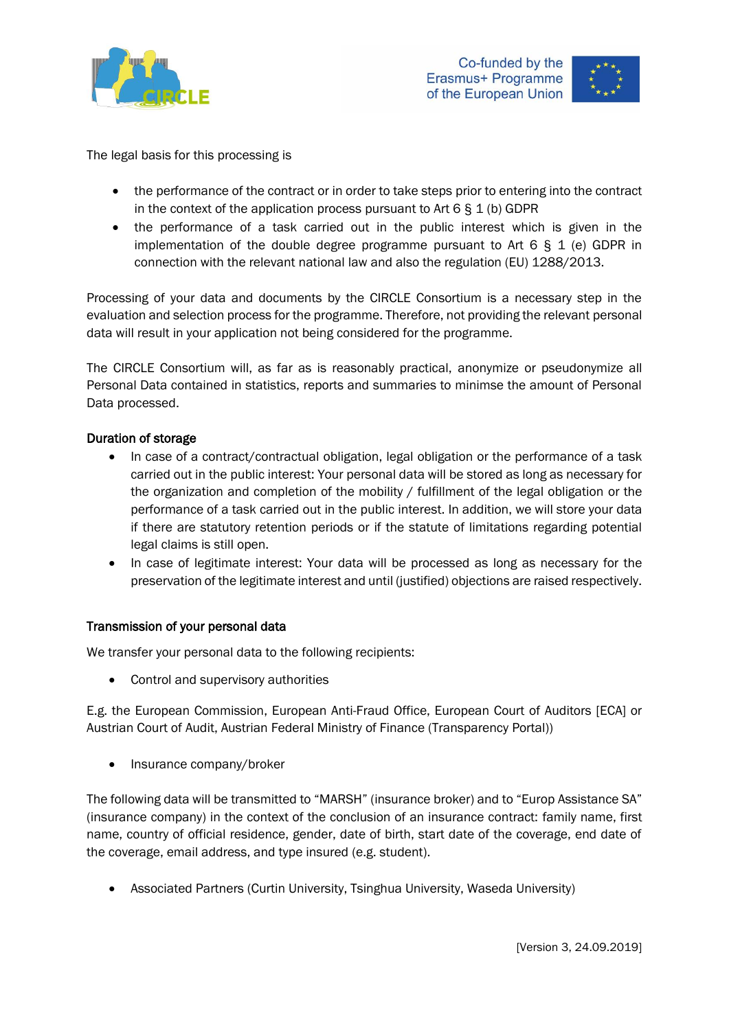



The legal basis for this processing is

- the performance of the contract or in order to take steps prior to entering into the contract in the context of the application process pursuant to Art  $6 \le 1$  (b) GDPR
- the performance of a task carried out in the public interest which is given in the implementation of the double degree programme pursuant to Art  $6 \S 1$  (e) GDPR in connection with the relevant national law and also the regulation (EU) 1288/2013.

Processing of your data and documents by the CIRCLE Consortium is a necessary step in the evaluation and selection process for the programme. Therefore, not providing the relevant personal data will result in your application not being considered for the programme.

The CIRCLE Consortium will, as far as is reasonably practical, anonymize or pseudonymize all Personal Data contained in statistics, reports and summaries to minimse the amount of Personal Data processed.

### Duration of storage

- In case of a contract/contractual obligation, legal obligation or the performance of a task carried out in the public interest: Your personal data will be stored as long as necessary for the organization and completion of the mobility / fulfillment of the legal obligation or the performance of a task carried out in the public interest. In addition, we will store your data if there are statutory retention periods or if the statute of limitations regarding potential legal claims is still open.
- In case of legitimate interest: Your data will be processed as long as necessary for the preservation of the legitimate interest and until (justified) objections are raised respectively.

#### Transmission of your personal data

We transfer your personal data to the following recipients:

• Control and supervisory authorities

E.g. the European Commission, European Anti-Fraud Office, European Court of Auditors [ECA] or Austrian Court of Audit, Austrian Federal Ministry of Finance (Transparency Portal))

• Insurance company/broker

The following data will be transmitted to "MARSH" (insurance broker) and to "Europ Assistance SA" (insurance company) in the context of the conclusion of an insurance contract: family name, first name, country of official residence, gender, date of birth, start date of the coverage, end date of the coverage, email address, and type insured (e.g. student).

• Associated Partners (Curtin University, Tsinghua University, Waseda University)